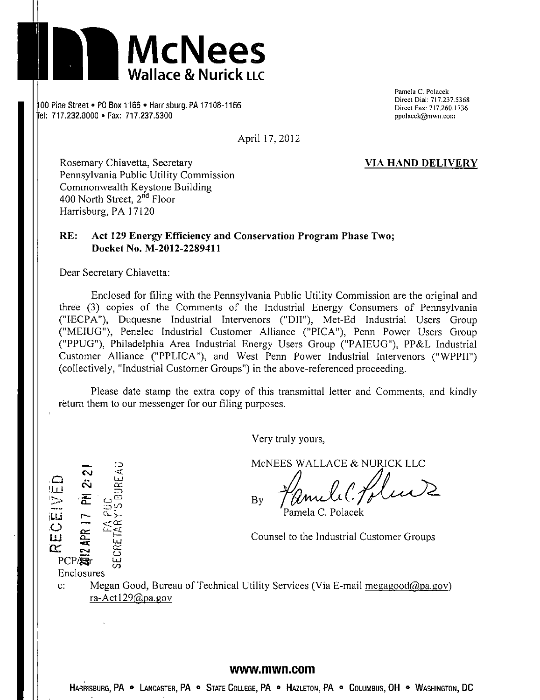

(a)  $\frac{6}{17.237.5368}$  .  $\frac{10}{166}$   $\frac{10}{100}$   $\frac{11}{11.237.5368}$  .  $\frac{10}{100}$  M  $\frac{11}{100}$  M  $\frac{11}{100}$  M  $\frac{11}{100}$  M  $\frac{11}{100}$  M  $\frac{11}{100}$  M  $\frac{11}{100}$  M  $\frac{11}{100}$  M  $\frac{11}{100}$  M  $\frac{11}{100}$ 00 Pine Street ● PO Box 1166 ● Harrisburg, PA 17106-1166 Direct Fax: 717.260.1736 Direct Fax: 717.260.1736 Direct Fax: 717.260.1736 "el; 717.232.8000 • Fax: 717.237.5300 ppoiacek@mwn.coni

April 17,2012

Pamela C. Polacek<br>Direct Dial: 717.237.5368

**Rosemary Chiavetta, Secretary VIA HAND DELIVERY**  Pennsylvania Public Utility Commission Commonwealth Keystone Building 400 North Street, 2<sup>nd</sup> Floor Harrisburg, PA 17120

# **RE: Act 129 Energy Efficiency and Conservation Program Phase Two; Docket No. M-2012-2289411**

Dear Secretary Chiavetta:

Enclosed for filing with the Pennsylvania Public Utility Commission are the original and three (3) copies of the Comments of the Industrial Energy Consumers of Pennsylvania ("IECPA"), Duquesne Industrial Intervenors ("DII"), Met-Ed Industrial Users Group ("MEIUG"), Penelec Industrial Customer Alliance ("PICA"), Penn Power Users Group ("PPUG"), Philadelphia Area Industrial Energy Users Group ("PAIEUG"), PP&L Industrial Customer Alliance ("PPLICA"), and West Penn Power Industrial Intervenors ("WPPII") (collectively, "Industrial Customer Groups") in the above-referenced proceeding.

Please date stamp the extra copy of this transmittal letter and Comments, and kindly return them to our messenger for our filing purposes.

Very truly yours,

MONEES WALLACE & NURICK LLC  $\ge$   $\frac{1}{2}$   $\frac{1}{2}$   $\frac{1}{2}$   $\frac{1}{2}$   $\frac{1}{2}$   $\frac{1}{2}$   $\frac{1}{2}$   $\frac{1}{2}$   $\frac{1}{2}$   $\frac{1}{2}$   $\frac{1}{2}$   $\frac{1}{2}$   $\frac{1}{2}$   $\frac{1}{2}$   $\frac{1}{2}$   $\frac{1}{2}$   $\frac{1}{2}$   $\frac{1}{2}$   $\frac{1}{2}$   $\frac{1}{2}$   $\frac{1}{2}$   $\frac{1}{$ 

amela C. Polacek

 $\overline{C}$   $\overline{C}$   $\overline{C}$   $\overline{C}$   $\overline{C}$   $\overline{C}$   $\overline{C}$   $\overline{C}$   $\overline{C}$   $\overline{C}$   $\overline{C}$   $\overline{C}$   $\overline{C}$   $\overline{C}$   $\overline{C}$   $\overline{C}$   $\overline{C}$   $\overline{C}$   $\overline{C}$   $\overline{C}$   $\overline{C}$   $\overline{C}$   $\overline{C}$   $\overline{C}$   $\overline{$ 

**2012 APR 17 PM 2:21**<br>Exetary's bureau<br>Secretary's bureau  $\alpha$  -  $\alpha$  -  $\alpha$  -  $\alpha$  -  $\alpha$  -  $\alpha$  -  $\alpha$  -  $\alpha$  -  $\alpha$  -  $\alpha$  -  $\alpha$  -  $\alpha$  -  $\alpha$  -  $\alpha$  -  $\alpha$  -  $\alpha$  -  $\alpha$  -  $\alpha$  -  $\alpha$  -  $\alpha$  -  $\alpha$  -  $\alpha$  -  $\alpha$  -  $\alpha$  -  $\alpha$  -  $\alpha$  -  $\alpha$  -  $\alpha$  -  $\alpha$  -  $\alpha$  -  $\alpha$  -  $\alpha$ Enclosures

UJ.

c: Megan Good, Bureau of Technical Utility Services (Via E-mail megagood $\omega$ )  $\omega$ ra-Act 129@pa. gov

#### **www.mwn.com**

Harrisburg, PA • Lancaster, PA • State College, PA • Hazleton, PA • Columbus, OH • Washington, DC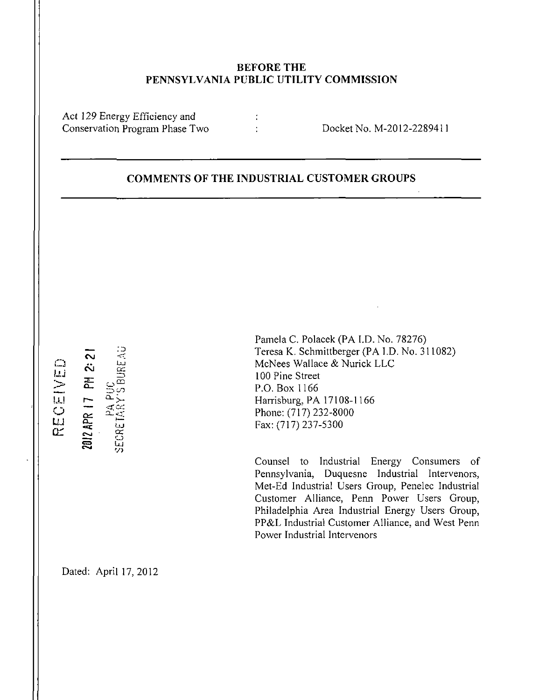# **BEFORE THE PENNSYLVANIA PUBLIC UTILITY COMMISSION**

 $\mathcal{L}$ 

Act 129 Energy Efficiency and<br>Conservation Program Phase Two

Conservation Phase Two Docket No. M-2012-2289411

# **COMMENTS OF THE INDUSTRIAL CUSTOMER GROUPS**

لصة | ||<br>|- $\mathbf{L}$ **o tr**  2012 APR 17 PM 2: 2

u.,

 $\approx$ 

 $\stackrel{\text{\tiny{12}}}{\approx}$ **LU V)** 

Pamela C. Polacek (PA I.D. No. 78276) Teresa K. Schmittberger (PA I.D. No. 311082) McNees Wallace & Nurick LLC 100 Pine Street P.O. Box 1166 Harrisburg, PA 17108-1166 Phone: (717) 232-8000 Fax: (717) 237-5300

Counsel to Industrial Energy Consumers of Pennsylvania, Duquesne Industrial Intervenors, Met-Ed Industrial Users Group, Penelec Industrial Customer Alliance, Penn Power Users Group, Philadelphia Area Industrial Energy Users Group, PP&L Industrial Customer Alliance, and West Penn Power Industrial Intervenors

Dated: April 17,2012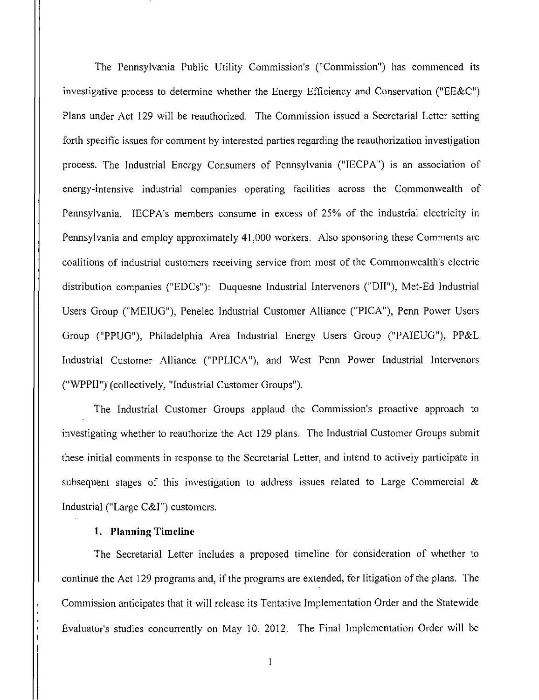The Pennsylvania Public Utility Commission's ("Commission") has commenced its investigative process to determine whether the Energy Efficiency and Conservation ("EE&C") Plans under Act 129 will be reauthorized. The Commission issued a Secretarial Letter setting forth specific issues for comment by interested parties regarding the reauthorization investigation process. The Industrial Energy Consumers of Pennsylvania ("IECPA") is an association of energy-intensive industrial companies operating facilities across the Commonwealth of Pennsylvania. IECPA'S members consume in excess of 25% of the industrial electricity in Pennsylvania and employ approximately 41,000 workers. Also sponsoring these Comments are coalitions of industrial customers receiving service from most of the Commonwealth's electric distribution companies ("EDCs"): Duquesne Industrial Intervenors ("DII"), Met-Ed Industrial Users Group ("MEIUG"), Penelec Industrial Customer Alliance ("PICA"), Penn Power Users Group ("PPUG"), Philadelphia Area Industrial Energy Users Group ("PAIEUG"), PP&L Industrial Customer Alliance ("PPLICA"), and West Penn Power Industrial Intervenors ("WPPII") (collectively, "Industrial Customer Groups").

The Industrial Customer Groups applaud the Commission's proactive approach to investigating whether to reauthorize the Act 129 plans. The Industrial Customer Groups submit these initial comments in response to the Secretarial Letter, and intend to actively participate in subsequent stages of this investigation to address issues related to Large Commercial  $\&$ Industrial ("Large C&I") customers.

#### **1. Planning Timeline**

The Secretarial Letter includes a proposed timeline for consideration of whether to continue the Act 129 programs and, if the programs are extended, for litigation of the plans. The Commission anticipates that it will release its Tentative Implementation Order and the Statewide Evaluator's studies concurrently on May 10, 2012. The Final Implementation Order will be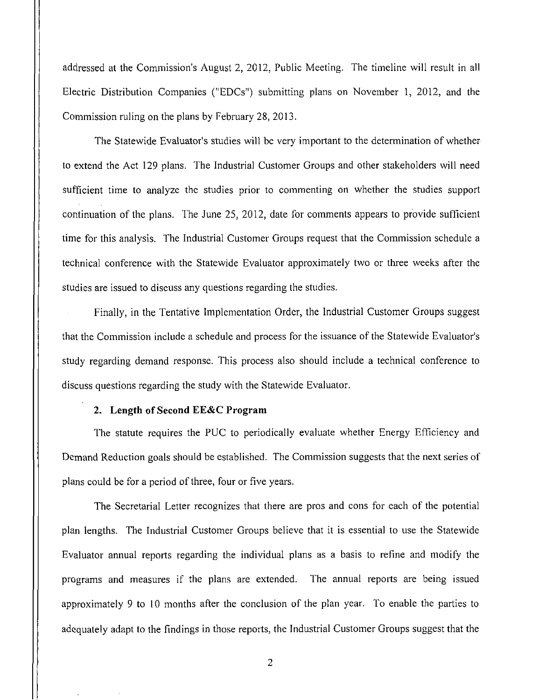addressed at the Commission's August 2, 2012, Public Meeting. The timeline will result in all Electric Distribution Companies ("EDCs") submitting plans on November 1, 2012, and the Commission ruling on the plans by February 28, 2013.

The Statewide Evaluator's studies will be very important to the determination of whether to extend the Act 129 plans. The Industrial Customer Groups and other stakeholders will need sufficient time to analyze the studies prior to commenting on whether the studies support continuation of the plans. The June 25, 2012, date for comments appears to provide sufficient time for this analysis. The Industrial Customer Groups request that the Commission schedule a technical conference with the Statewide Evaluator approximately two or three weeks after the studies are issued to discuss any questions regarding the studies.

Finally, in the Tentative Implementation Order, the Industrial Customer Groups suggest that the Commission include a schedule and process for the issuance of the Statewide Evaluator's study regarding demand response. This process also should include a technical conference to discuss questions regarding the study with the Statewide Evaluator.

## **2. Length of Second EE&C Program**

The statute requires the PUC to periodically evaluate whether Energy Efficiency and Demand Reduction goals should be established. The Commission suggests that the next series of plans could be for a period of three, four or five years.

The Secretarial Letter recognizes that there are pros and cons for each of the potential plan lengths. The Industrial Customer Groups believe that it is essential to use the Statewide Evaluator annual reports regarding the individual plans as a basis to refine and modify the programs and measures if the plans are extended. The annual reports are being issued approximately 9 to 10 months after the conclusion of the plan year. To enable the parties to adequately adapt to the findings in those reports, the Industrial Customer Groups suggest that the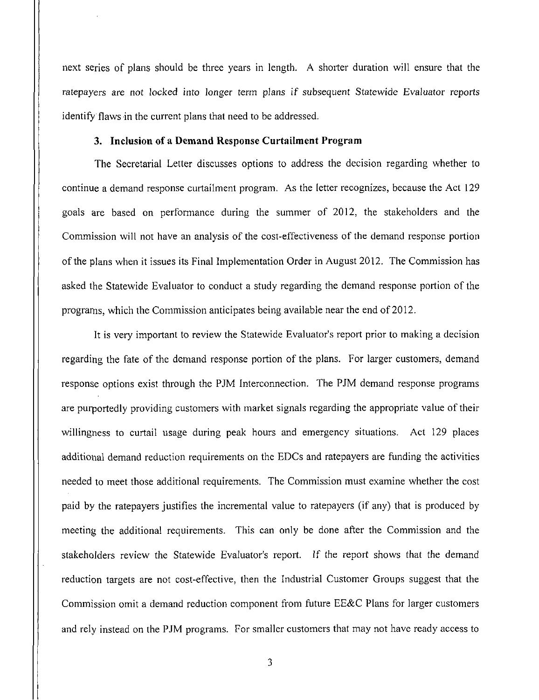next series of plans should be three years in length. A shorter duration will ensure that the ratepayers are not locked into longer term plans if subsequent Statewide Evaluator reports identify flaws in the current plans that need to be addressed.

## **3. Inclusion of a Demand Response Curtailment Program**

The Secretarial Letter discusses options to address the decision regarding whether to continue a demand response curtailment program. As the letter recognizes, because the Act 129 goals are based on performance during the summer of 2012, the stakeholders and the Commission will not have an analysis of the cost-effectiveness of the demand response portion of the plans when it issues its Final Implementation Order in August 2012. The Commission has asked the Statewide Evaluator to conduct a study regarding the demand response portion of the programs, which the Commission anticipates being available near the end of 2012.

It is very important to review the Statewide Evaluator's report prior to making a decision regarding the fate of the demand response portion of the plans. For larger customers, demand response options exist through the PJM Interconnection. The PJM demand response programs are purportedly providing customers with market signals regarding the appropriate value of their willingness to curtail usage during peak hours and emergency situations. Act 129 places additional demand reduction requirements on the EDCs and ratepayers are funding the activities needed to meet those additional requirements. The Commission must examine whether the cost paid by the ratepayers justifies the incremental value to ratepayers (if any) that is produced by meeting the additional requirements. This can only be done after the Commission and the stakeholders review the Statewide Evaluator's report. If the report shows that the demand reduction targets are not cost-effective, then the Industrial Customer Groups suggest that the Commission omit a demand reduction component from future EE&C Plans for larger customers and rely instead on the PJM programs. For smaller customers that may not have ready access to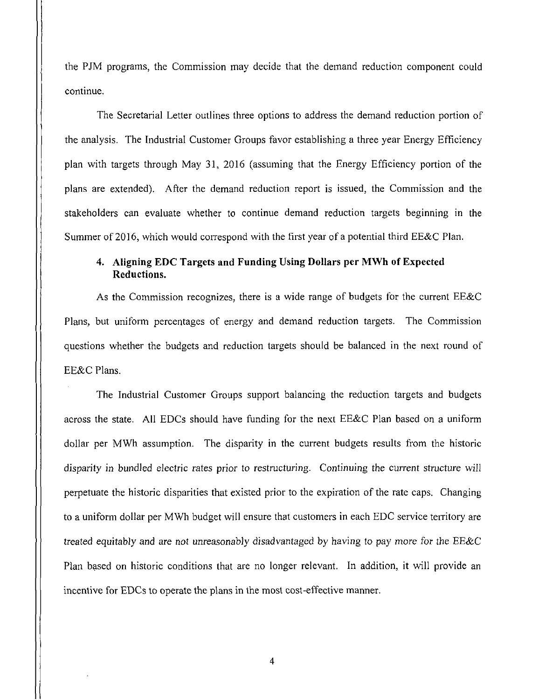the PJM programs, the Commission may decide that the demand reduction component could continue.

The Secretarial Letter outlines three options to address the demand reduction portion of the analysis. The Industrial Customer Groups favor establishing a three year Energy Efficiency plan with targets through May 31, 2016 (assuming that the Energy Efficiency portion of the plans are extended). After the demand reduction report is issued, the Commission and the stakeholders can evaluate whether to continue demand reduction targets beginning in the Summer of 2016, which would correspond with the first year of a potential third EE&C Plan.

# **4. Aligning EDC Targets and Funding Using Dollars per MWh of Expected Reductions.**

As the Commission recognizes, there is a wide range of budgets for the current EE&C Plans, but uniform percentages of energy and demand reduction targets. The Commission questions whether the budgets and reduction targets should be balanced in the next round of EE&C Plans.

The Industrial Customer Groups support balancing the reduction targets and budgets across the state. All EDCs should have funding for the next EE&C Plan based on a uniform dollar per MWh assumption. The disparity in the current budgets results from the historic disparity in bundled electric rates prior to restructuring. Continuing the current structure will perpetuate the historic disparities that existed prior to the expiration of the rate caps. Changing to a uniform dollar per MWh budget will ensure that customers in each EDC service territory are treated equitably and are not unreasonably disadvantaged by having to pay more for the EE&C Plan based on historic conditions that are no longer relevant. In addition, it will provide an incentive for EDCs to operate the plans in the most cost-effective manner.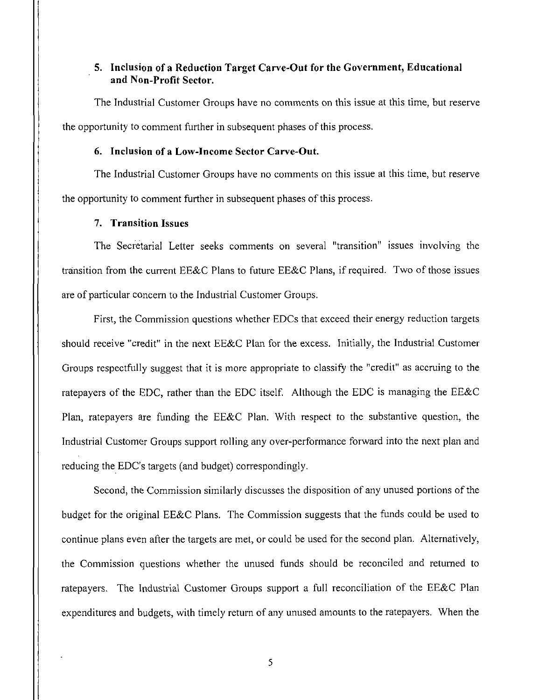## **5. Inclusion of a Reduction Target Carve-Out for the Government, Educational and Non-Profit Sector.**

The Industrial Customer Groups have no comments on this issue at this time, but reserve the opportunity to comment further in subsequent phases of this process.

#### **6. Inclusion of a Low-Income Sector Carve-Out.**

The Industrial Customer Groups have no comments on this issue at this time, but reserve the opportunity to comment further in subsequent phases of this process.

### **7. Transition Issues**

The Secretarial Letter seeks comments on several "transition" issues involving the transition from the current EE&C Plans to future EE&C Plans, if required. Two of those issues are of particular concern to the Industrial Customer Groups.

First, the Commission questions whether EDCs that exceed their energy reduction targets should receive "credit" in the next EE&C Plan for the excess. Initially, the Industrial Customer Groups respectfully suggest that it is more appropriate to classify the "credit" as accruing to the ratepayers of the EDC, rather than the EDC itself. Although the EDC is managing the EE&C Plan, ratepayers are funding the EE&C Plan. With respect to the substantive question, the Industrial Customer Groups support rolling any over-performance forward into the next plan and reducing the EDC's targets (and budget) correspondingly.

Second, the Commission similarly discusses the disposition of any unused portions of the budget for the original EE&C Plans. The Commission suggests that the funds could be used to continue plans even after the targets are met, or could be used for the second plan. Alternatively, the Commission questions whether the unused funds should be reconciled and returned to ratepayers. The Industrial Customer Groups support a full reconciliation of the EE&C Plan expenditures and budgets, with timely return of any unused amounts to the ratepayers. When the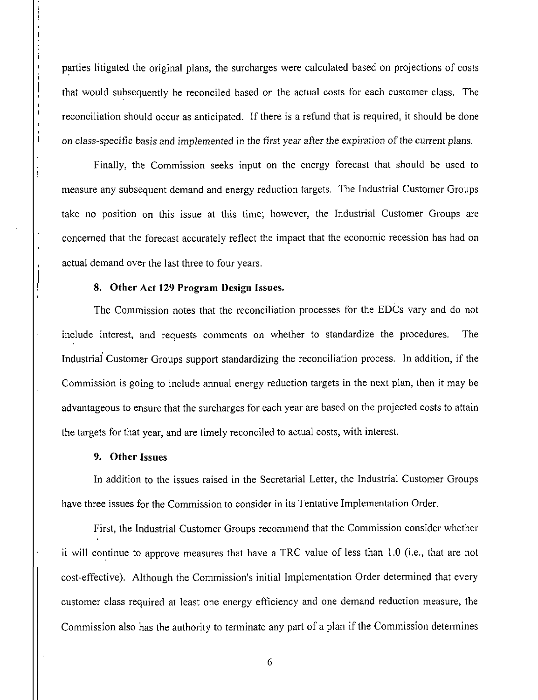parties litigated the original plans, the surcharges were calculated based on projections of costs that would subsequently be reconciled based on the actual costs for each customer class. The reconciliation should occur as anticipated. If there is a refund that is required, it should be done on class-specific basis and implemented in the first year after the expiration of the current plans.

Finally, the Commission seeks input on the energy forecast that should be used to measure any subsequent demand and energy reduction targets. The Industrial Customer Groups take no position on this issue at this time; however, the Industrial Customer Groups are concerned that the forecast accurately reflect the impact that the economic recession has had on actual demand over the last three to four years.

#### **8. Other Act 129 Program Design Issues.**

The Commission notes that the reconciliation processes for the EDCs vary and do not include interest, and requests comments on whether to standardize the procedures. The Industrial Customer Groups support standardizing the reconciliation process. In addition, if the Commission is going to include annual energy reduction targets in the next plan, then it may be advantageous to ensure that the surcharges for each year are based on the projected costs to attain the targets for that year, and are timely reconciled to actual costs, with interest.

## **9. Other Issues**

In addition to the issues raised in the Secretarial Letter, the Industrial Customer Groups have three issues for the Commission to consider in its Tentative Implementation Order.

First, the Industrial Customer Groups recommend that the Commission consider whether it will continue to approve measures that have a TRC value of less than 1.0 (i.e., that are not cost-effective). Although the Commission's initial Implementation Order determined that every customer class required at least one energy efficiency and one demand reduction measure, the Commission also has the authority to terminate any part of a plan if the Commission determines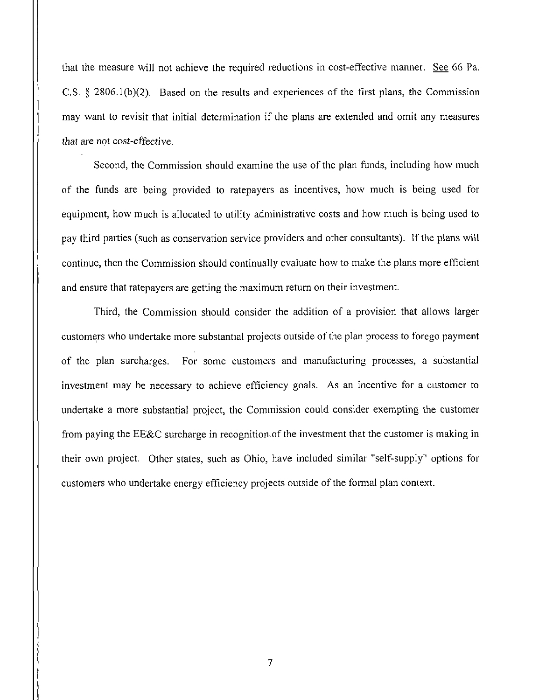that the measure will not achieve the required reductions in cost-effective manner. See 66 Pa. C.S. § 2806.1(b)(2). Based on the results and experiences of the first plans, the Commission may want to revisit that initial determination if the plans are extended and omit any measures that are not cost-effective.

Second, the Commission should examine the use of the plan funds, including how much of the funds are being provided to ratepayers as incentives, how much is being used for equipment, how much is allocated to utility administrative costs and how much is being used to pay third parties (such as conservation service providers and other consultants). If the plans will continue, then the Commission should continually evaluate how to make the plans more efficient and ensure that ratepayers are getting the maximum return on their investment.

Third, the Commission should consider the addition of a provision that allows larger customers who undertake more substantial projects outside of the plan process to forego payment of the plan surcharges. For some customers and manufacturing processes, a substantial investment may be necessary to achieve efficiency goals. As an incentive for a customer to undertake a more substantial project, the Commission could consider exempting the customer from paying the EE&C surcharge in recognition-of the investment that the customer is making in their own project. Other states, such as Ohio, have included similar "self-supply" options for customers who undertake energy efficiency projects outside of the formal plan context.